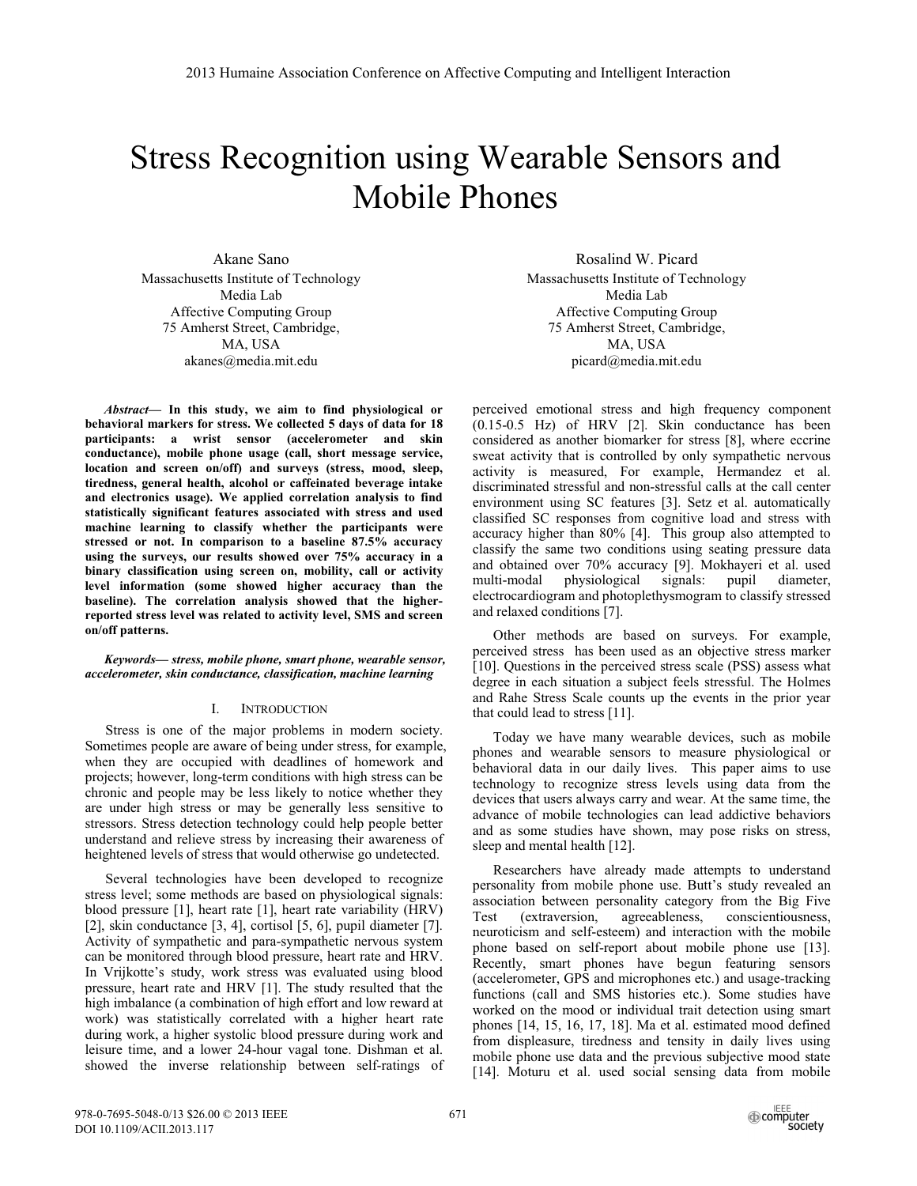# Stress Recognition using Wearable Sensors and Mobile Phones

Akane Sano Massachusetts Institute of Technology Media Lab Affective Computing Group 75 Amherst Street, Cambridge, MA, USA akanes@media.mit.edu

*Abstract***— In this study, we aim to find physiological or behavioral markers for stress. We collected 5 days of data for 18 participants: a wrist sensor (accelerometer and skin conductance), mobile phone usage (call, short message service, location and screen on/off) and surveys (stress, mood, sleep, tiredness, general health, alcohol or caffeinated beverage intake and electronics usage). We applied correlation analysis to find statistically significant features associated with stress and used machine learning to classify whether the participants were stressed or not. In comparison to a baseline 87.5% accuracy using the surveys, our results showed over 75% accuracy in a binary classification using screen on, mobility, call or activity level information (some showed higher accuracy than the baseline). The correlation analysis showed that the higherreported stress level was related to activity level, SMS and screen on/off patterns.** 

*Keywords— stress, mobile phone, smart phone, wearable sensor, accelerometer, skin conductance, classification, machine learning* 

## I. INTRODUCTION

Stress is one of the major problems in modern society. Sometimes people are aware of being under stress, for example, when they are occupied with deadlines of homework and projects; however, long-term conditions with high stress can be chronic and people may be less likely to notice whether they are under high stress or may be generally less sensitive to stressors. Stress detection technology could help people better understand and relieve stress by increasing their awareness of heightened levels of stress that would otherwise go undetected.

 Several technologies have been developed to recognize stress level; some methods are based on physiological signals: blood pressure [1], heart rate [1], heart rate variability (HRV) [2], skin conductance [3, 4], cortisol [5, 6], pupil diameter [7]. Activity of sympathetic and para-sympathetic nervous system can be monitored through blood pressure, heart rate and HRV. In Vrijkotte's study, work stress was evaluated using blood pressure, heart rate and HRV [1]. The study resulted that the high imbalance (a combination of high effort and low reward at work) was statistically correlated with a higher heart rate during work, a higher systolic blood pressure during work and leisure time, and a lower 24-hour vagal tone. Dishman et al. showed the inverse relationship between self-ratings of

Rosalind W. Picard Massachusetts Institute of Technology Media Lab Affective Computing Group 75 Amherst Street, Cambridge, MA, USA picard@media.mit.edu

perceived emotional stress and high frequency component (0.15-0.5 Hz) of HRV [2]. Skin conductance has been considered as another biomarker for stress [8], where eccrine sweat activity that is controlled by only sympathetic nervous activity is measured, For example, Hermandez et al. discriminated stressful and non-stressful calls at the call center environment using SC features [3]. Setz et al. automatically classified SC responses from cognitive load and stress with accuracy higher than 80% [4]. This group also attempted to classify the same two conditions using seating pressure data and obtained over 70% accuracy [9]. Mokhayeri et al. used multi-modal physiological signals: pupil diameter, electrocardiogram and photoplethysmogram to classify stressed and relaxed conditions [7].

 Other methods are based on surveys. For example, perceived stress has been used as an objective stress marker [10]. Questions in the perceived stress scale (PSS) assess what degree in each situation a subject feels stressful. The Holmes and Rahe Stress Scale counts up the events in the prior year that could lead to stress [11].

 Today we have many wearable devices, such as mobile phones and wearable sensors to measure physiological or behavioral data in our daily lives. This paper aims to use technology to recognize stress levels using data from the devices that users always carry and wear. At the same time, the advance of mobile technologies can lead addictive behaviors and as some studies have shown, may pose risks on stress, sleep and mental health [12].

Researchers have already made attempts to understand personality from mobile phone use. Butt's study revealed an association between personality category from the Big Five Test (extraversion, agreeableness, conscientiousness, neuroticism and self-esteem) and interaction with the mobile phone based on self-report about mobile phone use [13]. Recently, smart phones have begun featuring sensors (accelerometer, GPS and microphones etc.) and usage-tracking functions (call and SMS histories etc.). Some studies have worked on the mood or individual trait detection using smart phones [14, 15, 16, 17, 18]. Ma et al. estimated mood defined from displeasure, tiredness and tensity in daily lives using mobile phone use data and the previous subjective mood state [14]. Moturu et al. used social sensing data from mobile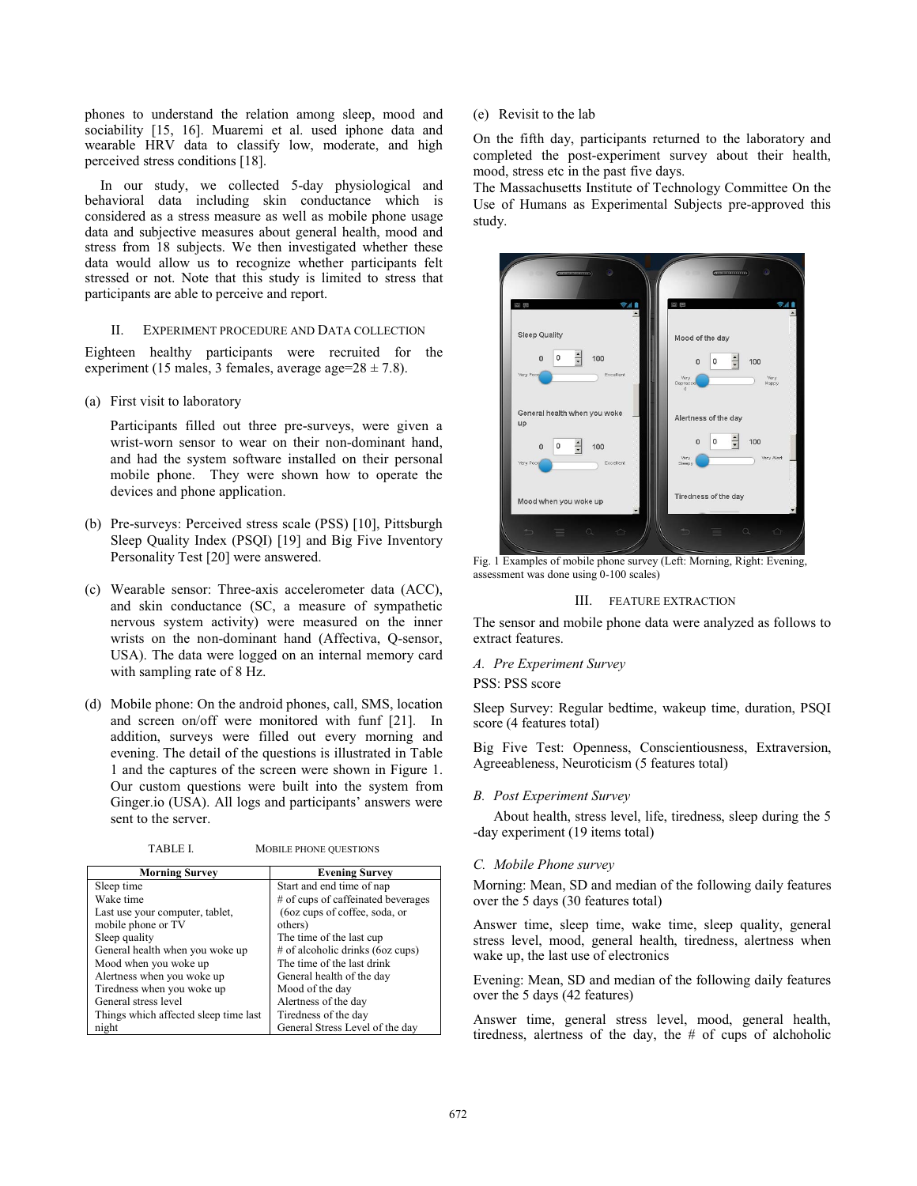phones to understand the relation among sleep, mood and sociability [15, 16]. Muaremi et al. used iphone data and wearable HRV data to classify low, moderate, and high perceived stress conditions [18].

In our study, we collected 5-day physiological and behavioral data including skin conductance which is considered as a stress measure as well as mobile phone usage data and subjective measures about general health, mood and stress from 18 subjects. We then investigated whether these data would allow us to recognize whether participants felt stressed or not. Note that this study is limited to stress that participants are able to perceive and report.

# II. EXPERIMENT PROCEDURE AND DATA COLLECTION

Eighteen healthy participants were recruited for the experiment (15 males, 3 females, average age= $28 \pm 7.8$ ).

(a) First visit to laboratory

Participants filled out three pre-surveys, were given a wrist-worn sensor to wear on their non-dominant hand, and had the system software installed on their personal mobile phone. They were shown how to operate the devices and phone application.

- (b) Pre-surveys: Perceived stress scale (PSS) [10], Pittsburgh Sleep Quality Index (PSQI) [19] and Big Five Inventory Personality Test [20] were answered.
- (c) Wearable sensor: Three-axis accelerometer data (ACC), and skin conductance (SC, a measure of sympathetic nervous system activity) were measured on the inner wrists on the non-dominant hand (Affectiva, Q-sensor, USA). The data were logged on an internal memory card with sampling rate of 8 Hz.
- (d) Mobile phone: On the android phones, call, SMS, location and screen on/off were monitored with funf [21]. In addition, surveys were filled out every morning and evening. The detail of the questions is illustrated in Table 1 and the captures of the screen were shown in Figure 1. Our custom questions were built into the system from Ginger.io (USA). All logs and participants' answers were sent to the server.

TABLE I. MOBILE PHONE QUESTIONS

| <b>Morning Survey</b>                 | <b>Evening Survey</b>              |  |
|---------------------------------------|------------------------------------|--|
| Sleep time                            | Start and end time of nap          |  |
| Wake time                             | # of cups of caffeinated beverages |  |
| Last use your computer, tablet,       | (6oz cups of coffee, soda, or      |  |
| mobile phone or TV                    | others)                            |  |
| Sleep quality                         | The time of the last cup           |  |
| General health when you woke up       | # of alcoholic drinks (6oz cups)   |  |
| Mood when you woke up                 | The time of the last drink         |  |
| Alertness when you woke up            | General health of the day          |  |
| Tiredness when you woke up            | Mood of the day                    |  |
| General stress level                  | Alertness of the day               |  |
| Things which affected sleep time last | Tiredness of the day               |  |
| night                                 | General Stress Level of the day    |  |

(e) Revisit to the lab

On the fifth day, participants returned to the laboratory and completed the post-experiment survey about their health, mood, stress etc in the past five days.

The Massachusetts Institute of Technology Committee On the Use of Humans as Experimental Subjects pre-approved this study.



Fig. 1 Examples of mobile phone survey (Left: Morning, Right: Evening, assessment was done using 0-100 scales)

## III. FEATURE EXTRACTION

The sensor and mobile phone data were analyzed as follows to extract features.

#### *A. Pre Experiment Survey*

PSS: PSS score

Sleep Survey: Regular bedtime, wakeup time, duration, PSQI score (4 features total)

Big Five Test: Openness, Conscientiousness, Extraversion, Agreeableness, Neuroticism (5 features total)

#### *B. Post Experiment Survey*

About health, stress level, life, tiredness, sleep during the 5 -day experiment (19 items total)

#### *C. Mobile Phone survey*

Morning: Mean, SD and median of the following daily features over the 5 days (30 features total)

Answer time, sleep time, wake time, sleep quality, general stress level, mood, general health, tiredness, alertness when wake up, the last use of electronics

Evening: Mean, SD and median of the following daily features over the 5 days (42 features)

Answer time, general stress level, mood, general health, tiredness, alertness of the day, the # of cups of alchoholic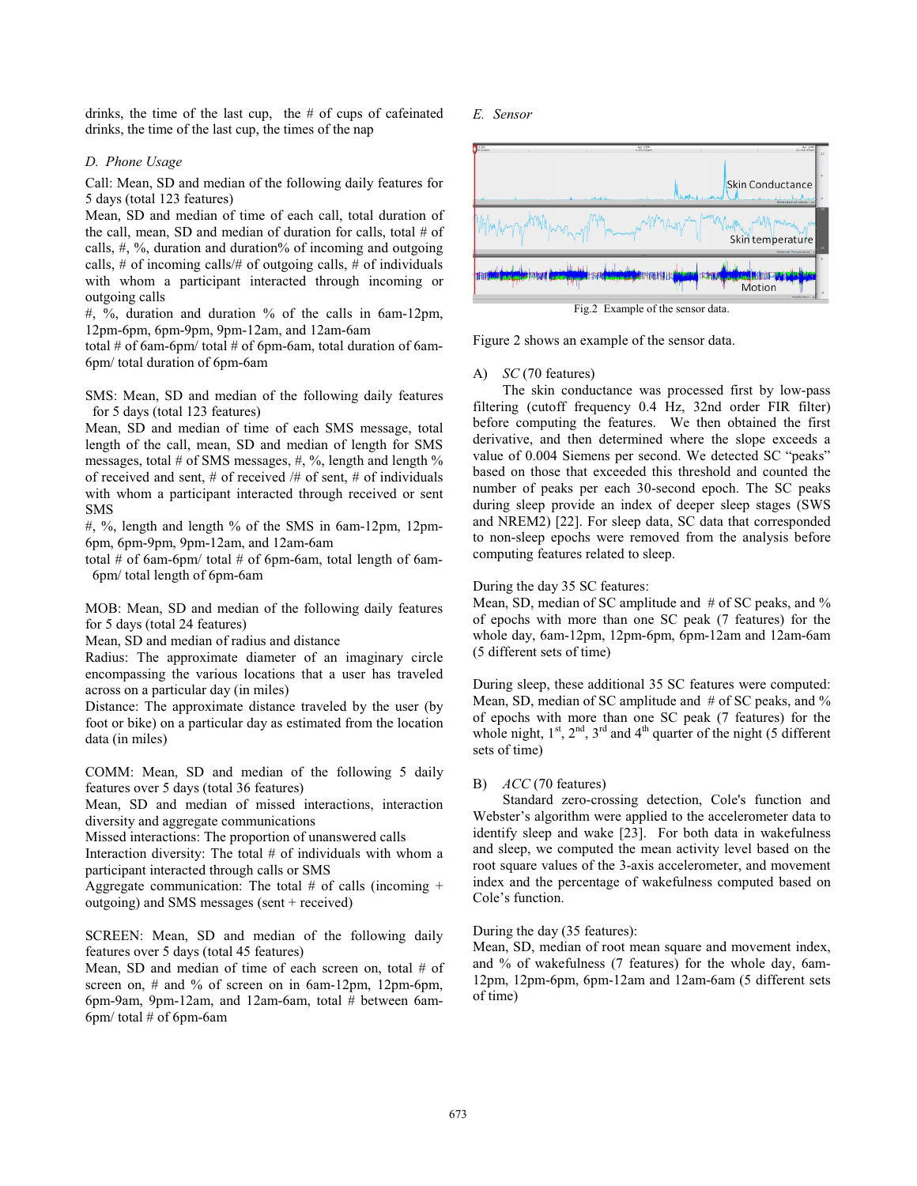drinks, the time of the last cup, the # of cups of cafeinated drinks, the time of the last cup, the times of the nap

## *D. Phone Usage*

Call: Mean, SD and median of the following daily features for 5 days (total 123 features)

Mean, SD and median of time of each call, total duration of the call, mean, SD and median of duration for calls, total # of calls, #, %, duration and duration% of incoming and outgoing calls, # of incoming calls/# of outgoing calls, # of individuals with whom a participant interacted through incoming or outgoing calls

 $\#$ , %, duration and duration % of the calls in 6am-12pm, 12pm-6pm, 6pm-9pm, 9pm-12am, and 12am-6am

total # of 6am-6pm/ total # of 6pm-6am, total duration of 6am-6pm/ total duration of 6pm-6am

SMS: Mean, SD and median of the following daily features for 5 days (total 123 features)

Mean, SD and median of time of each SMS message, total length of the call, mean, SD and median of length for SMS messages, total # of SMS messages, #, %, length and length % of received and sent, # of received /# of sent, # of individuals with whom a participant interacted through received or sent SMS

#, %, length and length % of the SMS in 6am-12pm, 12pm-6pm, 6pm-9pm, 9pm-12am, and 12am-6am

total # of 6am-6pm/ total # of 6pm-6am, total length of 6am-6pm/ total length of 6pm-6am

MOB: Mean, SD and median of the following daily features for 5 days (total 24 features)

Mean, SD and median of radius and distance

Radius: The approximate diameter of an imaginary circle encompassing the various locations that a user has traveled across on a particular day (in miles)

Distance: The approximate distance traveled by the user (by foot or bike) on a particular day as estimated from the location data (in miles)

COMM: Mean, SD and median of the following 5 daily features over 5 days (total 36 features)

Mean, SD and median of missed interactions, interaction diversity and aggregate communications

Missed interactions: The proportion of unanswered calls

Interaction diversity: The total # of individuals with whom a participant interacted through calls or SMS

Aggregate communication: The total  $#$  of calls (incoming  $+$ outgoing) and SMS messages (sent + received)

SCREEN: Mean, SD and median of the following daily features over 5 days (total 45 features)

Mean, SD and median of time of each screen on, total # of screen on,  $\#$  and  $\%$  of screen on in 6am-12pm, 12pm-6pm, 6pm-9am, 9pm-12am, and 12am-6am, total # between 6am-6pm/ total  $#$  of 6pm-6am

## *E. Sensor*



Figure 2 shows an example of the sensor data.

#### A) *SC* (70 features)

The skin conductance was processed first by low-pass filtering (cutoff frequency 0.4 Hz, 32nd order FIR filter) before computing the features. We then obtained the first derivative, and then determined where the slope exceeds a value of 0.004 Siemens per second. We detected SC "peaks" based on those that exceeded this threshold and counted the number of peaks per each 30-second epoch. The SC peaks during sleep provide an index of deeper sleep stages (SWS and NREM2) [22]. For sleep data, SC data that corresponded to non-sleep epochs were removed from the analysis before computing features related to sleep.

## During the day 35 SC features:

Mean, SD, median of SC amplitude and # of SC peaks, and % of epochs with more than one SC peak (7 features) for the whole day, 6am-12pm, 12pm-6pm, 6pm-12am and 12am-6am (5 different sets of time)

During sleep, these additional 35 SC features were computed: Mean, SD, median of SC amplitude and # of SC peaks, and % of epochs with more than one SC peak (7 features) for the whole night,  $1^{st}$ ,  $2^{nd}$ ,  $3^{rd}$  and  $4^{th}$  quarter of the night (5 different sets of time)

## B) *ACC* (70 features)

Standard zero-crossing detection, Cole's function and Webster's algorithm were applied to the accelerometer data to identify sleep and wake [23]. For both data in wakefulness and sleep, we computed the mean activity level based on the root square values of the 3-axis accelerometer, and movement index and the percentage of wakefulness computed based on Cole's function.

## During the day (35 features):

Mean, SD, median of root mean square and movement index, and % of wakefulness (7 features) for the whole day, 6am-12pm, 12pm-6pm, 6pm-12am and 12am-6am (5 different sets of time)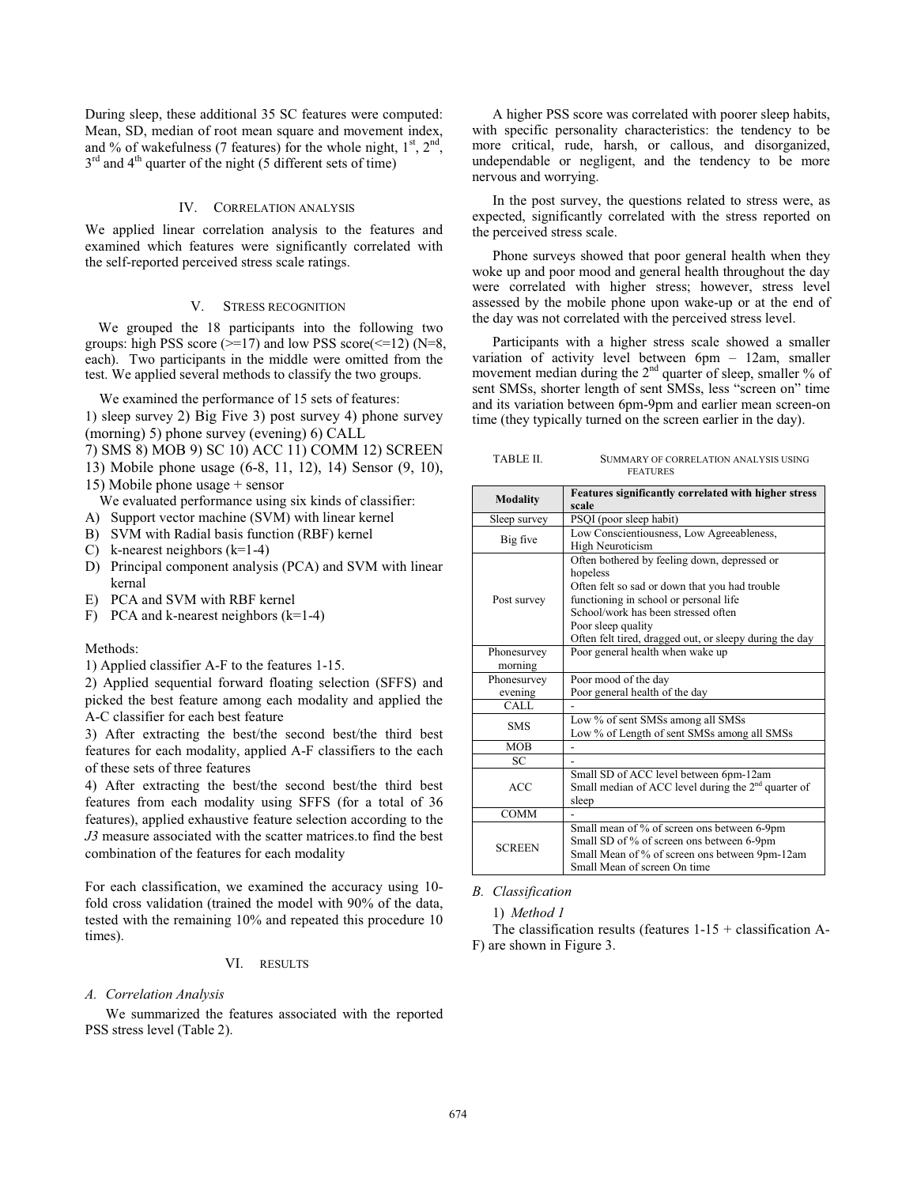During sleep, these additional 35 SC features were computed: Mean, SD, median of root mean square and movement index, and % of wakefulness (7 features) for the whole night,  $1<sup>st</sup>$ ,  $2<sup>nd</sup>$ ,  $3<sup>rd</sup>$  and  $4<sup>th</sup>$  quarter of the night (5 different sets of time)

## IV. CORRELATION ANALYSIS

We applied linear correlation analysis to the features and examined which features were significantly correlated with the self-reported perceived stress scale ratings.

# V. STRESS RECOGNITION

 We grouped the 18 participants into the following two groups: high PSS score ( $\ge$ =17) and low PSS score( $\le$ =12) (N=8, each). Two participants in the middle were omitted from the test. We applied several methods to classify the two groups.

We examined the performance of 15 sets of features:

1) sleep survey 2) Big Five 3) post survey 4) phone survey (morning) 5) phone survey (evening) 6) CALL

- 7) SMS 8) MOB 9) SC 10) ACC 11) COMM 12) SCREEN
- 13) Mobile phone usage (6-8, 11, 12), 14) Sensor (9, 10),
- 15) Mobile phone usage + sensor

We evaluated performance using six kinds of classifier:

- A) Support vector machine (SVM) with linear kernel
- B) SVM with Radial basis function (RBF) kernel
- C) k-nearest neighbors  $(k=1-4)$
- D) Principal component analysis (PCA) and SVM with linear kernal
- E) PCA and SVM with RBF kernel
- F) PCA and k-nearest neighbors  $(k=1-4)$

## Methods:

1) Applied classifier A-F to the features 1-15.

2) Applied sequential forward floating selection (SFFS) and picked the best feature among each modality and applied the A-C classifier for each best feature

3) After extracting the best/the second best/the third best features for each modality, applied A-F classifiers to the each of these sets of three features

4) After extracting the best/the second best/the third best features from each modality using SFFS (for a total of 36 features), applied exhaustive feature selection according to the *J3* measure associated with the scatter matrices.to find the best combination of the features for each modality

For each classification, we examined the accuracy using 10 fold cross validation (trained the model with 90% of the data, tested with the remaining 10% and repeated this procedure 10 times).

#### VI. RESULTS

#### *A. Correlation Analysis*

We summarized the features associated with the reported PSS stress level (Table 2).

A higher PSS score was correlated with poorer sleep habits, with specific personality characteristics: the tendency to be more critical, rude, harsh, or callous, and disorganized, undependable or negligent, and the tendency to be more nervous and worrying.

In the post survey, the questions related to stress were, as expected, significantly correlated with the stress reported on the perceived stress scale.

Phone surveys showed that poor general health when they woke up and poor mood and general health throughout the day were correlated with higher stress; however, stress level assessed by the mobile phone upon wake-up or at the end of the day was not correlated with the perceived stress level.

Participants with a higher stress scale showed a smaller variation of activity level between 6pm – 12am, smaller movement median during the  $2<sup>nd</sup>$  quarter of sleep, smaller % of sent SMSs, shorter length of sent SMSs, less "screen on" time and its variation between 6pm-9pm and earlier mean screen-on time (they typically turned on the screen earlier in the day).

| TABLE II. | SUMMARY OF CORRELATION ANALYSIS USING |
|-----------|---------------------------------------|
|           | <b>FEATURES</b>                       |

| Features significantly correlated with higher stress |                                                                                                                                                                                                                                                                              |
|------------------------------------------------------|------------------------------------------------------------------------------------------------------------------------------------------------------------------------------------------------------------------------------------------------------------------------------|
| <b>Modality</b>                                      | scale                                                                                                                                                                                                                                                                        |
| Sleep survey                                         | PSQI (poor sleep habit)                                                                                                                                                                                                                                                      |
| Big five                                             | Low Conscientiousness, Low Agreeableness,<br><b>High Neuroticism</b>                                                                                                                                                                                                         |
| Post survey                                          | Often bothered by feeling down, depressed or<br>hopeless<br>Often felt so sad or down that you had trouble<br>functioning in school or personal life<br>School/work has been stressed often<br>Poor sleep quality<br>Often felt tired, dragged out, or sleepy during the day |
| Phonesurvey<br>morning                               | Poor general health when wake up                                                                                                                                                                                                                                             |
| Phonesurvey                                          | Poor mood of the day                                                                                                                                                                                                                                                         |
| evening                                              | Poor general health of the day                                                                                                                                                                                                                                               |
| CALL                                                 |                                                                                                                                                                                                                                                                              |
| <b>SMS</b>                                           | Low % of sent SMSs among all SMSs<br>Low % of Length of sent SMSs among all SMSs                                                                                                                                                                                             |
| <b>MOB</b>                                           |                                                                                                                                                                                                                                                                              |
| SC                                                   |                                                                                                                                                                                                                                                                              |
| <b>ACC</b>                                           | Small SD of ACC level between 6pm-12am<br>Small median of ACC level during the $2nd$ quarter of<br>sleep                                                                                                                                                                     |
| <b>COMM</b>                                          |                                                                                                                                                                                                                                                                              |
| <b>SCREEN</b>                                        | Small mean of % of screen ons between 6-9pm<br>Small SD of % of screen ons between 6-9pm<br>Small Mean of % of screen ons between 9pm-12am<br>Small Mean of screen On time                                                                                                   |

*B. Classification* 

1) *Method 1* 

The classification results (features  $1-15 +$  classification A-F) are shown in Figure 3.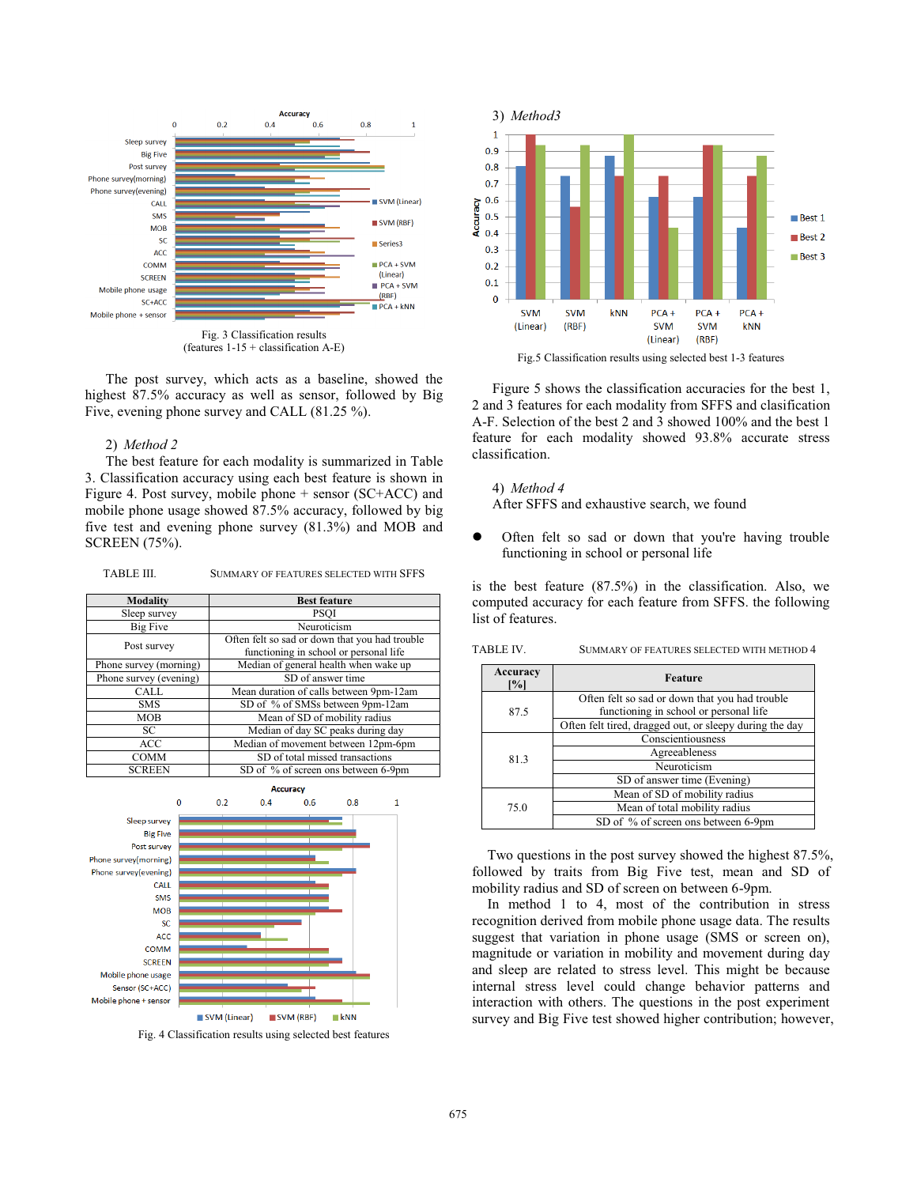

(features 1-15 + classification A-E)

The post survey, which acts as a baseline, showed the highest 87.5% accuracy as well as sensor, followed by Big Five, evening phone survey and CALL (81.25 %).

## 2) *Method 2*

The best feature for each modality is summarized in Table 3. Classification accuracy using each best feature is shown in Figure 4. Post survey, mobile phone + sensor (SC+ACC) and mobile phone usage showed 87.5% accuracy, followed by big five test and evening phone survey (81.3%) and MOB and SCREEN (75%).

TABLE III. SUMMARY OF FEATURES SELECTED WITH SFFS

| <b>Modality</b>        | <b>Best feature</b>                            |
|------------------------|------------------------------------------------|
| Sleep survey           | <b>PSOI</b>                                    |
| Big Five               | Neuroticism                                    |
| Post survey            | Often felt so sad or down that you had trouble |
|                        | functioning in school or personal life         |
| Phone survey (morning) | Median of general health when wake up          |
| Phone survey (evening) | SD of answer time                              |
| CALL                   | Mean duration of calls between 9pm-12am        |
| <b>SMS</b>             | SD of % of SMSs between 9pm-12am               |
| <b>MOB</b>             | Mean of SD of mobility radius                  |
| SC                     | Median of day SC peaks during day              |
| <b>ACC</b>             | Median of movement between 12pm-6pm            |
| <b>COMM</b>            | SD of total missed transactions                |
| <b>SCREEN</b>          | SD of % of screen ons between 6-9pm            |



Fig. 4 Classification results using selected best features



Fig.5 Classification results using selected best 1-3 features

Figure 5 shows the classification accuracies for the best 1, 2 and 3 features for each modality from SFFS and clasification A-F. Selection of the best 2 and 3 showed 100% and the best 1 feature for each modality showed 93.8% accurate stress classification.

4) *Method 4*  After SFFS and exhaustive search, we found

 $\bullet$  Often felt so sad or down that you're having trouble functioning in school or personal life

is the best feature (87.5%) in the classification. Also, we computed accuracy for each feature from SFFS. the following list of features.

| TABLE IV. |                               | SUMMARY OF FEATURES SELECTED WITH METHOD 4              |
|-----------|-------------------------------|---------------------------------------------------------|
|           | Accuracy<br>$\left[\%\right]$ | Feature                                                 |
|           |                               | Often felt so sad or down that you had trouble          |
|           | 87.5                          | functioning in school or personal life                  |
|           |                               | Often felt tired, dragged out, or sleepy during the day |
|           | 81.3                          | Conscientiousness                                       |
|           |                               | Agreeableness                                           |
|           |                               | Neuroticism                                             |
|           |                               | SD of answer time (Evening)                             |
|           |                               | Mean of SD of mobility radius                           |
|           | 75.0                          | Mean of total mobility radius                           |
|           |                               | SD of % of screen ons between 6-9pm                     |

Two questions in the post survey showed the highest 87.5%, followed by traits from Big Five test, mean and SD of mobility radius and SD of screen on between 6-9pm.

In method 1 to 4, most of the contribution in stress recognition derived from mobile phone usage data. The results suggest that variation in phone usage (SMS or screen on), magnitude or variation in mobility and movement during day and sleep are related to stress level. This might be because internal stress level could change behavior patterns and interaction with others. The questions in the post experiment survey and Big Five test showed higher contribution; however,